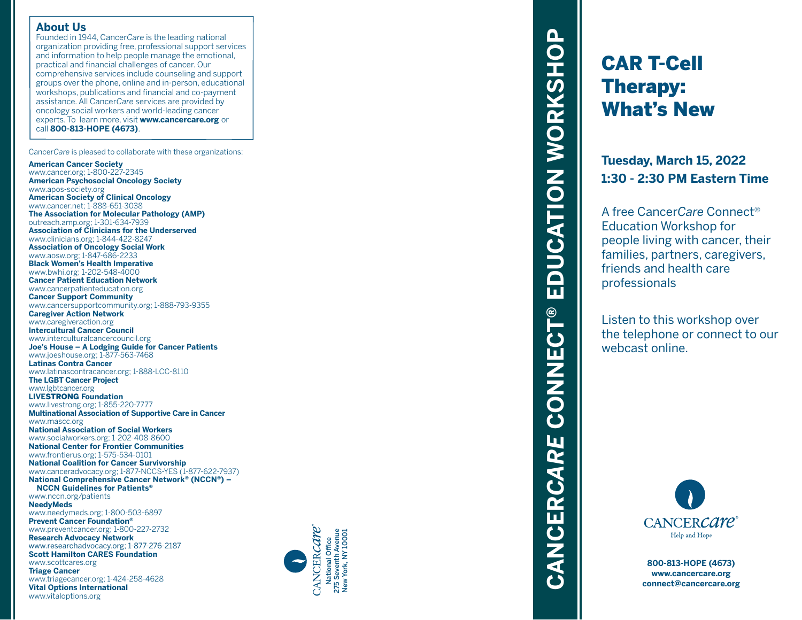#### **About Us**

Founded in 1944, Cancer*Care* is the leading national organization providing free, professional support services and information to help people manage the emotional, practical and financial challenges of cancer. Our comprehensive services include counseling and support groups over the phone, online and in-person, educational workshops, publications and financial and co-payment assistance. All Cancer*Care* services are provided by oncology social workers and world-leading cancer experts. To learn more, visit **www.cancercare.org** or call **800-813-HOPE (4673)** .

Cancer*Care* is pleased to collaborate with these organizations:

#### **American Cancer Society**

www.cancer.org; 1-800-227-2345 **American Psychosocial Oncology Society** www.apos-society.org **American Society of Clinical Oncology** www.cancer.net; 1-888-651-3038 **The Association for Molecular Pathology (AMP)** outreach.amp.org; 1-301-634-7939 **Association of Clinicians for the Underserved** www.clinicians.org; 1-844-422-8247 **Association of Oncology Social Work** www.aosw.org; 1-847-686-2233 **Black Women's Health Imperative** www.bwhi.org; 1-202-548-4000 **Cancer Patient Education Network** www.cancerpatienteducation.org **Cancer Support Community** www.cancersupportcommunity.org; 1-888-793-9355 **Caregiver Action Network** www.caregiveraction.org **Intercultural Cancer Council** www.interculturalcancercouncil.org **Joe's House – A Lodging Guide for Cancer Patients** www.joeshouse.org; 1-877-563-7468 **Latinas Contra Cancer** www.latinascontracancer.org; 1-888-LCC-8110 **The LGBT Cancer Project** www.lgbtcancer.org **LIVE**STRONG **Foundation** www.livestrong.org; 1-855-220-7777 **Multinational Association of Supportive Care in Cancer** www.mascc.org **National Association of Social Workers** www.socialworkers.org; 1-202-408-8600 **National Center for Frontier Communities** www.frontierus.org; 1-575-534-0101 **National Coalition for Cancer Survivorship** www.canceradvocacy.org; 1-877-NCCS-YES (1-877-622-7937) **National Comprehensive Cancer Network ® (NCCN ®) – NCCN Guidelines for Patients ®** www.nccn.org/patients **NeedyMeds** www.needymeds.org; 1-800-503-6897 **Prevent Cancer Foundation ®** www.preventcancer.org; 1-800-227-2732 **Research Advocacy Network** www.researchadvocacy.org; 1-877-276-2187 **Scott Hamilton CARES Foundation** www.scottcares.org **Triage Cancer** www.triagecancer.org; 1-424-258-4628 **Vital Options International** www.vitaloptions.org



# EDUCATION WORKSHOP **CANCER***CARE* **CONNECT® EDUCATION WORKSHOP** CANCERCARE CONNECT®

# CAR T-Cell Therapy: What's New

**Tuesday, March 15, 2022 1:30 - 2:30 PM Eastern Time**

A free Cancer*Care* Connect ® Education Workshop for people living with cancer, their families, partners, caregivers, friends and health care professionals

Listen to this workshop over the telephone or connect to our webcast online.



**800-813-HOPE (4673) www.cancercare.org connect@cancercare.org**